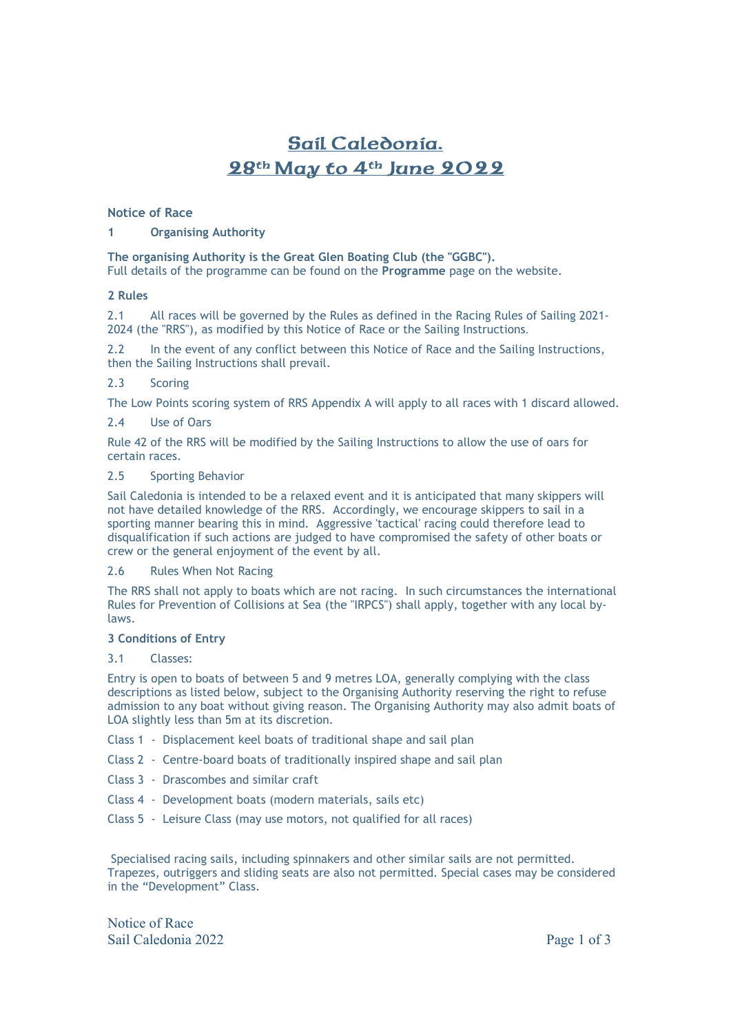# Sail Caledonia. 28th May to 4th June 2022

#### **Notice of Race**

# **1 Organising Authority**

**The organising Authority is the Great Glen Boating Club (the "GGBC").** 

Full details of the programme can be found on the **Programme** page on the website.

#### **2 Rules**

2.1 All races will be governed by the Rules as defined in the Racing Rules of Sailing 2021- 2024 (the "RRS"), as modified by this Notice of Race or the Sailing Instructions.

2.2 In the event of any conflict between this Notice of Race and the Sailing Instructions, then the Sailing Instructions shall prevail.

# 2.3 Scoring

The Low Points scoring system of RRS Appendix A will apply to all races with 1 discard allowed.

## 2.4 Use of Oars

Rule 42 of the RRS will be modified by the Sailing Instructions to allow the use of oars for certain races.

#### 2.5 Sporting Behavior

Sail Caledonia is intended to be a relaxed event and it is anticipated that many skippers will not have detailed knowledge of the RRS. Accordingly, we encourage skippers to sail in a sporting manner bearing this in mind. Aggressive 'tactical' racing could therefore lead to disqualification if such actions are judged to have compromised the safety of other boats or crew or the general enjoyment of the event by all.

#### 2.6 Rules When Not Racing

The RRS shall not apply to boats which are not racing. In such circumstances the international Rules for Prevention of Collisions at Sea (the "IRPCS") shall apply, together with any local bylaws.

#### **3 Conditions of Entry**

#### 3.1 Classes:

Entry is open to boats of between 5 and 9 metres LOA, generally complying with the class descriptions as listed below, subject to the Organising Authority reserving the right to refuse admission to any boat without giving reason. The Organising Authority may also admit boats of LOA slightly less than 5m at its discretion.

- Class 1 Displacement keel boats of traditional shape and sail plan
- Class 2 Centre-board boats of traditionally inspired shape and sail plan
- Class 3 Drascombes and similar craft
- Class 4 Development boats (modern materials, sails etc)
- Class 5 Leisure Class (may use motors, not qualified for all races)

 Specialised racing sails, including spinnakers and other similar sails are not permitted. Trapezes, outriggers and sliding seats are also not permitted. Special cases may be considered in the "Development" Class.

Notice of Race Sail Caledonia 2022 Page 1 of 3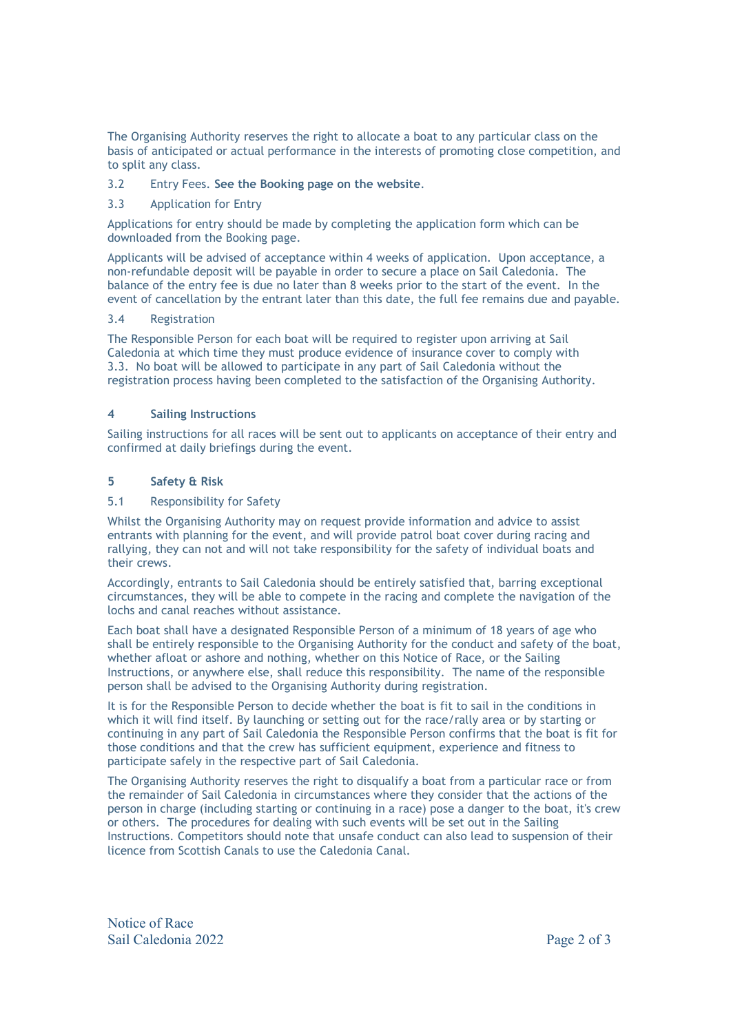The Organising Authority reserves the right to allocate a boat to any particular class on the basis of anticipated or actual performance in the interests of promoting close competition, and to split any class.

## 3.2 Entry Fees. **See the Booking page on the website**.

#### 3.3 Application for Entry

Applications for entry should be made by completing the application form which can be downloaded from the Booking page.

Applicants will be advised of acceptance within 4 weeks of application. Upon acceptance, a non-refundable deposit will be payable in order to secure a place on Sail Caledonia. The balance of the entry fee is due no later than 8 weeks prior to the start of the event. In the event of cancellation by the entrant later than this date, the full fee remains due and payable.

#### 3.4 Registration

The Responsible Person for each boat will be required to register upon arriving at Sail Caledonia at which time they must produce evidence of insurance cover to comply with 3.3. No boat will be allowed to participate in any part of Sail Caledonia without the registration process having been completed to the satisfaction of the Organising Authority.

## **4 Sailing Instructions**

Sailing instructions for all races will be sent out to applicants on acceptance of their entry and confirmed at daily briefings during the event.

# **5 Safety & Risk**

#### 5.1 Responsibility for Safety

Whilst the Organising Authority may on request provide information and advice to assist entrants with planning for the event, and will provide patrol boat cover during racing and rallying, they can not and will not take responsibility for the safety of individual boats and their crews.

Accordingly, entrants to Sail Caledonia should be entirely satisfied that, barring exceptional circumstances, they will be able to compete in the racing and complete the navigation of the lochs and canal reaches without assistance.

Each boat shall have a designated Responsible Person of a minimum of 18 years of age who shall be entirely responsible to the Organising Authority for the conduct and safety of the boat, whether afloat or ashore and nothing, whether on this Notice of Race, or the Sailing Instructions, or anywhere else, shall reduce this responsibility. The name of the responsible person shall be advised to the Organising Authority during registration.

It is for the Responsible Person to decide whether the boat is fit to sail in the conditions in which it will find itself. By launching or setting out for the race/rally area or by starting or continuing in any part of Sail Caledonia the Responsible Person confirms that the boat is fit for those conditions and that the crew has sufficient equipment, experience and fitness to participate safely in the respective part of Sail Caledonia.

The Organising Authority reserves the right to disqualify a boat from a particular race or from the remainder of Sail Caledonia in circumstances where they consider that the actions of the person in charge (including starting or continuing in a race) pose a danger to the boat, it's crew or others. The procedures for dealing with such events will be set out in the Sailing Instructions. Competitors should note that unsafe conduct can also lead to suspension of their licence from Scottish Canals to use the Caledonia Canal.

Notice of Race Sail Caledonia 2022 **Page 2 of 3**